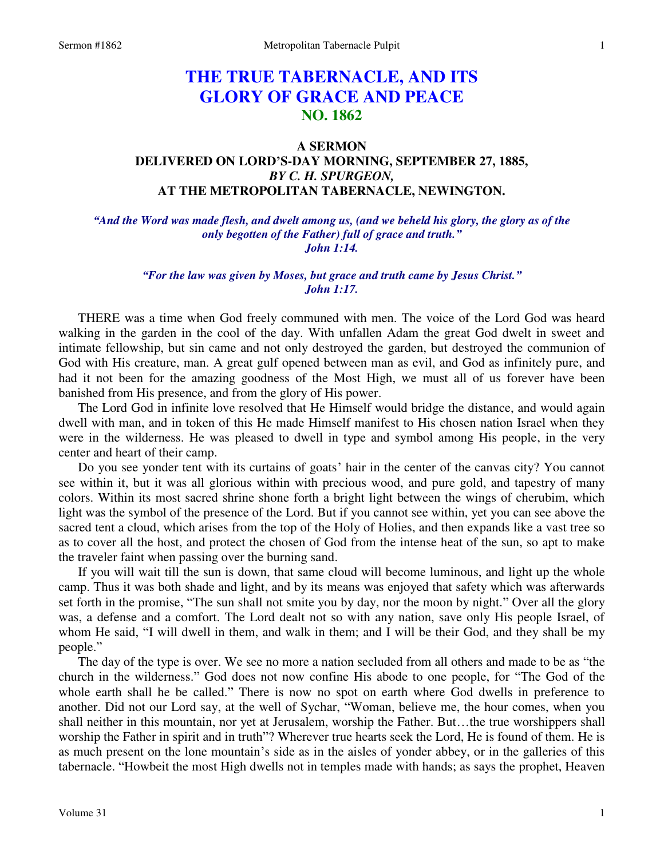# **THE TRUE TABERNACLE, AND ITS GLORY OF GRACE AND PEACE NO. 1862**

#### **A SERMON**

# **DELIVERED ON LORD'S-DAY MORNING, SEPTEMBER 27, 1885,**  *BY C. H. SPURGEON,*  **AT THE METROPOLITAN TABERNACLE, NEWINGTON.**

*"And the Word was made flesh, and dwelt among us, (and we beheld his glory, the glory as of the only begotten of the Father) full of grace and truth." John 1:14.* 

#### *"For the law was given by Moses, but grace and truth came by Jesus Christ." John 1:17.*

THERE was a time when God freely communed with men. The voice of the Lord God was heard walking in the garden in the cool of the day. With unfallen Adam the great God dwelt in sweet and intimate fellowship, but sin came and not only destroyed the garden, but destroyed the communion of God with His creature, man. A great gulf opened between man as evil, and God as infinitely pure, and had it not been for the amazing goodness of the Most High, we must all of us forever have been banished from His presence, and from the glory of His power.

 The Lord God in infinite love resolved that He Himself would bridge the distance, and would again dwell with man, and in token of this He made Himself manifest to His chosen nation Israel when they were in the wilderness. He was pleased to dwell in type and symbol among His people, in the very center and heart of their camp.

 Do you see yonder tent with its curtains of goats' hair in the center of the canvas city? You cannot see within it, but it was all glorious within with precious wood, and pure gold, and tapestry of many colors. Within its most sacred shrine shone forth a bright light between the wings of cherubim, which light was the symbol of the presence of the Lord. But if you cannot see within, yet you can see above the sacred tent a cloud, which arises from the top of the Holy of Holies, and then expands like a vast tree so as to cover all the host, and protect the chosen of God from the intense heat of the sun, so apt to make the traveler faint when passing over the burning sand.

 If you will wait till the sun is down, that same cloud will become luminous, and light up the whole camp. Thus it was both shade and light, and by its means was enjoyed that safety which was afterwards set forth in the promise, "The sun shall not smite you by day, nor the moon by night." Over all the glory was, a defense and a comfort. The Lord dealt not so with any nation, save only His people Israel, of whom He said, "I will dwell in them, and walk in them; and I will be their God, and they shall be my people."

 The day of the type is over. We see no more a nation secluded from all others and made to be as "the church in the wilderness." God does not now confine His abode to one people, for "The God of the whole earth shall he be called." There is now no spot on earth where God dwells in preference to another. Did not our Lord say, at the well of Sychar, "Woman, believe me, the hour comes, when you shall neither in this mountain, nor yet at Jerusalem, worship the Father. But…the true worshippers shall worship the Father in spirit and in truth"? Wherever true hearts seek the Lord, He is found of them. He is as much present on the lone mountain's side as in the aisles of yonder abbey, or in the galleries of this tabernacle. "Howbeit the most High dwells not in temples made with hands; as says the prophet, Heaven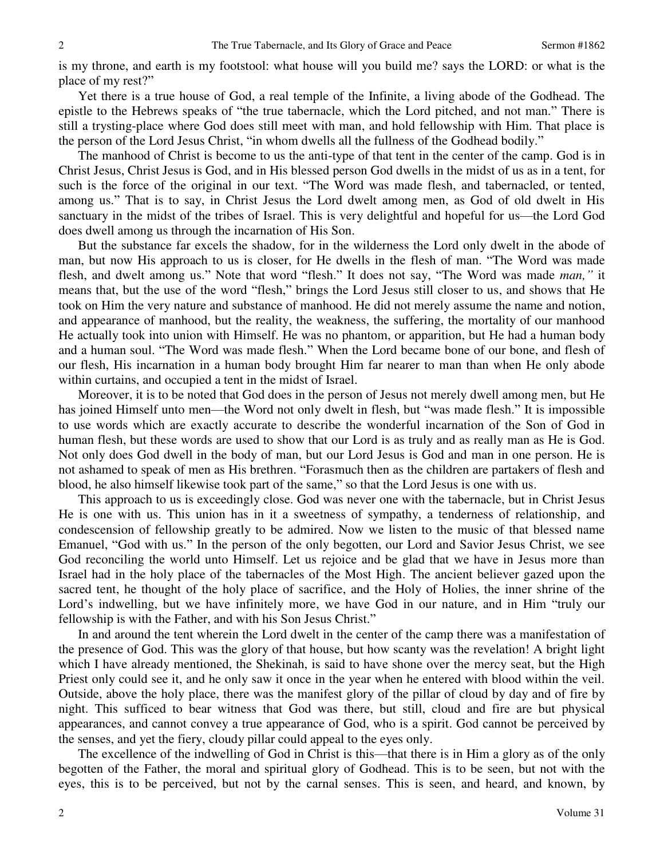is my throne, and earth is my footstool: what house will you build me? says the LORD: or what is the place of my rest?"

 Yet there is a true house of God, a real temple of the Infinite, a living abode of the Godhead. The epistle to the Hebrews speaks of "the true tabernacle, which the Lord pitched, and not man." There is still a trysting-place where God does still meet with man, and hold fellowship with Him. That place is the person of the Lord Jesus Christ, "in whom dwells all the fullness of the Godhead bodily."

 The manhood of Christ is become to us the anti-type of that tent in the center of the camp. God is in Christ Jesus, Christ Jesus is God, and in His blessed person God dwells in the midst of us as in a tent, for such is the force of the original in our text. "The Word was made flesh, and tabernacled, or tented, among us." That is to say, in Christ Jesus the Lord dwelt among men, as God of old dwelt in His sanctuary in the midst of the tribes of Israel. This is very delightful and hopeful for us—the Lord God does dwell among us through the incarnation of His Son.

 But the substance far excels the shadow, for in the wilderness the Lord only dwelt in the abode of man, but now His approach to us is closer, for He dwells in the flesh of man. "The Word was made flesh, and dwelt among us." Note that word "flesh." It does not say, "The Word was made *man,"* it means that, but the use of the word "flesh," brings the Lord Jesus still closer to us, and shows that He took on Him the very nature and substance of manhood. He did not merely assume the name and notion, and appearance of manhood, but the reality, the weakness, the suffering, the mortality of our manhood He actually took into union with Himself. He was no phantom, or apparition, but He had a human body and a human soul. "The Word was made flesh." When the Lord became bone of our bone, and flesh of our flesh, His incarnation in a human body brought Him far nearer to man than when He only abode within curtains, and occupied a tent in the midst of Israel.

 Moreover, it is to be noted that God does in the person of Jesus not merely dwell among men, but He has joined Himself unto men—the Word not only dwelt in flesh, but "was made flesh." It is impossible to use words which are exactly accurate to describe the wonderful incarnation of the Son of God in human flesh, but these words are used to show that our Lord is as truly and as really man as He is God. Not only does God dwell in the body of man, but our Lord Jesus is God and man in one person. He is not ashamed to speak of men as His brethren. "Forasmuch then as the children are partakers of flesh and blood, he also himself likewise took part of the same," so that the Lord Jesus is one with us.

 This approach to us is exceedingly close. God was never one with the tabernacle, but in Christ Jesus He is one with us. This union has in it a sweetness of sympathy, a tenderness of relationship, and condescension of fellowship greatly to be admired. Now we listen to the music of that blessed name Emanuel, "God with us." In the person of the only begotten, our Lord and Savior Jesus Christ, we see God reconciling the world unto Himself. Let us rejoice and be glad that we have in Jesus more than Israel had in the holy place of the tabernacles of the Most High. The ancient believer gazed upon the sacred tent, he thought of the holy place of sacrifice, and the Holy of Holies, the inner shrine of the Lord's indwelling, but we have infinitely more, we have God in our nature, and in Him "truly our fellowship is with the Father, and with his Son Jesus Christ."

 In and around the tent wherein the Lord dwelt in the center of the camp there was a manifestation of the presence of God. This was the glory of that house, but how scanty was the revelation! A bright light which I have already mentioned, the Shekinah, is said to have shone over the mercy seat, but the High Priest only could see it, and he only saw it once in the year when he entered with blood within the veil. Outside, above the holy place, there was the manifest glory of the pillar of cloud by day and of fire by night. This sufficed to bear witness that God was there, but still, cloud and fire are but physical appearances, and cannot convey a true appearance of God, who is a spirit. God cannot be perceived by the senses, and yet the fiery, cloudy pillar could appeal to the eyes only.

 The excellence of the indwelling of God in Christ is this—that there is in Him a glory as of the only begotten of the Father, the moral and spiritual glory of Godhead. This is to be seen, but not with the eyes, this is to be perceived, but not by the carnal senses. This is seen, and heard, and known, by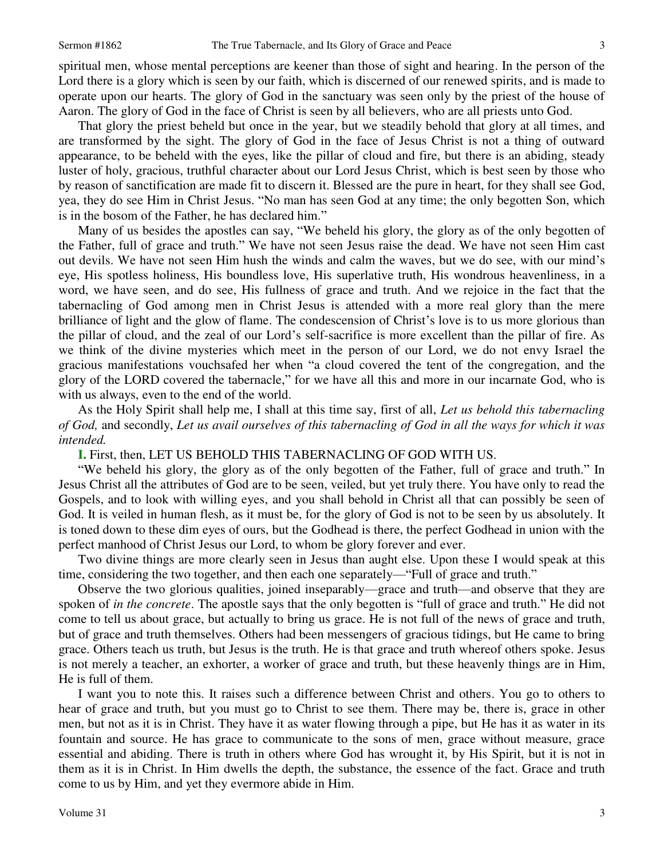spiritual men, whose mental perceptions are keener than those of sight and hearing. In the person of the Lord there is a glory which is seen by our faith, which is discerned of our renewed spirits, and is made to operate upon our hearts. The glory of God in the sanctuary was seen only by the priest of the house of Aaron. The glory of God in the face of Christ is seen by all believers, who are all priests unto God.

 That glory the priest beheld but once in the year, but we steadily behold that glory at all times, and are transformed by the sight. The glory of God in the face of Jesus Christ is not a thing of outward appearance, to be beheld with the eyes, like the pillar of cloud and fire, but there is an abiding, steady luster of holy, gracious, truthful character about our Lord Jesus Christ, which is best seen by those who by reason of sanctification are made fit to discern it. Blessed are the pure in heart, for they shall see God, yea, they do see Him in Christ Jesus. "No man has seen God at any time; the only begotten Son, which is in the bosom of the Father, he has declared him."

 Many of us besides the apostles can say, "We beheld his glory, the glory as of the only begotten of the Father, full of grace and truth." We have not seen Jesus raise the dead. We have not seen Him cast out devils. We have not seen Him hush the winds and calm the waves, but we do see, with our mind's eye, His spotless holiness, His boundless love, His superlative truth, His wondrous heavenliness, in a word, we have seen, and do see, His fullness of grace and truth. And we rejoice in the fact that the tabernacling of God among men in Christ Jesus is attended with a more real glory than the mere brilliance of light and the glow of flame. The condescension of Christ's love is to us more glorious than the pillar of cloud, and the zeal of our Lord's self-sacrifice is more excellent than the pillar of fire. As we think of the divine mysteries which meet in the person of our Lord, we do not envy Israel the gracious manifestations vouchsafed her when "a cloud covered the tent of the congregation, and the glory of the LORD covered the tabernacle," for we have all this and more in our incarnate God, who is with us always, even to the end of the world.

 As the Holy Spirit shall help me, I shall at this time say, first of all, *Let us behold this tabernacling of God,* and secondly, *Let us avail ourselves of this tabernacling of God in all the ways for which it was intended.* 

**I.** First, then, LET US BEHOLD THIS TABERNACLING OF GOD WITH US.

"We beheld his glory, the glory as of the only begotten of the Father, full of grace and truth." In Jesus Christ all the attributes of God are to be seen, veiled, but yet truly there. You have only to read the Gospels, and to look with willing eyes, and you shall behold in Christ all that can possibly be seen of God. It is veiled in human flesh, as it must be, for the glory of God is not to be seen by us absolutely. It is toned down to these dim eyes of ours, but the Godhead is there, the perfect Godhead in union with the perfect manhood of Christ Jesus our Lord, to whom be glory forever and ever.

 Two divine things are more clearly seen in Jesus than aught else. Upon these I would speak at this time, considering the two together, and then each one separately—"Full of grace and truth."

 Observe the two glorious qualities, joined inseparably—grace and truth—and observe that they are spoken of *in the concrete*. The apostle says that the only begotten is "full of grace and truth." He did not come to tell us about grace, but actually to bring us grace. He is not full of the news of grace and truth, but of grace and truth themselves. Others had been messengers of gracious tidings, but He came to bring grace. Others teach us truth, but Jesus is the truth. He is that grace and truth whereof others spoke. Jesus is not merely a teacher, an exhorter, a worker of grace and truth, but these heavenly things are in Him, He is full of them.

 I want you to note this. It raises such a difference between Christ and others. You go to others to hear of grace and truth, but you must go to Christ to see them. There may be, there is, grace in other men, but not as it is in Christ. They have it as water flowing through a pipe, but He has it as water in its fountain and source. He has grace to communicate to the sons of men, grace without measure, grace essential and abiding. There is truth in others where God has wrought it, by His Spirit, but it is not in them as it is in Christ. In Him dwells the depth, the substance, the essence of the fact. Grace and truth come to us by Him, and yet they evermore abide in Him.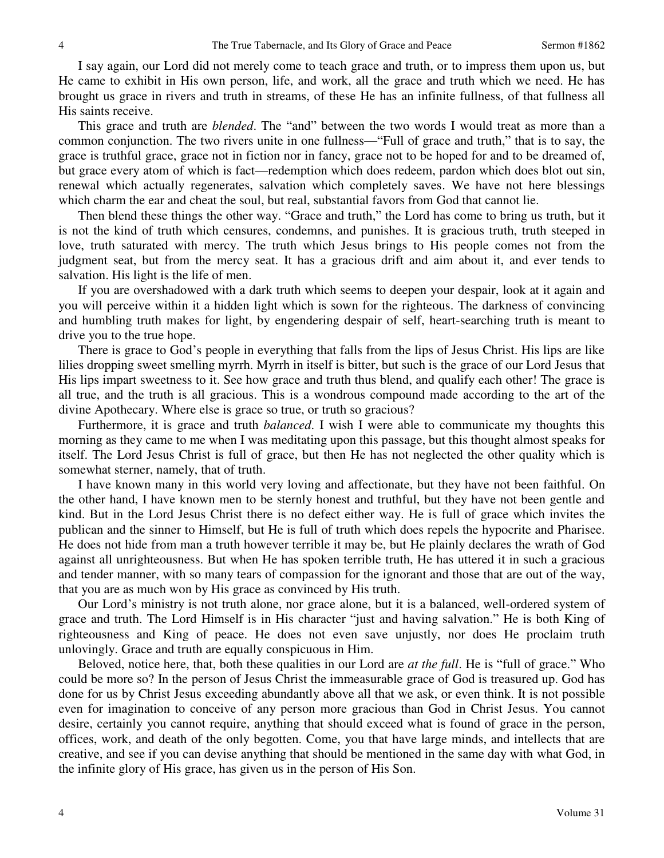I say again, our Lord did not merely come to teach grace and truth, or to impress them upon us, but He came to exhibit in His own person, life, and work, all the grace and truth which we need. He has brought us grace in rivers and truth in streams, of these He has an infinite fullness, of that fullness all His saints receive.

 This grace and truth are *blended*. The "and" between the two words I would treat as more than a common conjunction. The two rivers unite in one fullness—"Full of grace and truth," that is to say, the grace is truthful grace, grace not in fiction nor in fancy, grace not to be hoped for and to be dreamed of, but grace every atom of which is fact—redemption which does redeem, pardon which does blot out sin, renewal which actually regenerates, salvation which completely saves. We have not here blessings which charm the ear and cheat the soul, but real, substantial favors from God that cannot lie.

 Then blend these things the other way. "Grace and truth," the Lord has come to bring us truth, but it is not the kind of truth which censures, condemns, and punishes. It is gracious truth, truth steeped in love, truth saturated with mercy. The truth which Jesus brings to His people comes not from the judgment seat, but from the mercy seat. It has a gracious drift and aim about it, and ever tends to salvation. His light is the life of men.

 If you are overshadowed with a dark truth which seems to deepen your despair, look at it again and you will perceive within it a hidden light which is sown for the righteous. The darkness of convincing and humbling truth makes for light, by engendering despair of self, heart-searching truth is meant to drive you to the true hope.

 There is grace to God's people in everything that falls from the lips of Jesus Christ. His lips are like lilies dropping sweet smelling myrrh. Myrrh in itself is bitter, but such is the grace of our Lord Jesus that His lips impart sweetness to it. See how grace and truth thus blend, and qualify each other! The grace is all true, and the truth is all gracious. This is a wondrous compound made according to the art of the divine Apothecary. Where else is grace so true, or truth so gracious?

 Furthermore, it is grace and truth *balanced*. I wish I were able to communicate my thoughts this morning as they came to me when I was meditating upon this passage, but this thought almost speaks for itself. The Lord Jesus Christ is full of grace, but then He has not neglected the other quality which is somewhat sterner, namely, that of truth.

 I have known many in this world very loving and affectionate, but they have not been faithful. On the other hand, I have known men to be sternly honest and truthful, but they have not been gentle and kind. But in the Lord Jesus Christ there is no defect either way. He is full of grace which invites the publican and the sinner to Himself, but He is full of truth which does repels the hypocrite and Pharisee. He does not hide from man a truth however terrible it may be, but He plainly declares the wrath of God against all unrighteousness. But when He has spoken terrible truth, He has uttered it in such a gracious and tender manner, with so many tears of compassion for the ignorant and those that are out of the way, that you are as much won by His grace as convinced by His truth.

 Our Lord's ministry is not truth alone, nor grace alone, but it is a balanced, well-ordered system of grace and truth. The Lord Himself is in His character "just and having salvation." He is both King of righteousness and King of peace. He does not even save unjustly, nor does He proclaim truth unlovingly. Grace and truth are equally conspicuous in Him.

 Beloved, notice here, that, both these qualities in our Lord are *at the full*. He is "full of grace." Who could be more so? In the person of Jesus Christ the immeasurable grace of God is treasured up. God has done for us by Christ Jesus exceeding abundantly above all that we ask, or even think. It is not possible even for imagination to conceive of any person more gracious than God in Christ Jesus. You cannot desire, certainly you cannot require, anything that should exceed what is found of grace in the person, offices, work, and death of the only begotten. Come, you that have large minds, and intellects that are creative, and see if you can devise anything that should be mentioned in the same day with what God, in the infinite glory of His grace, has given us in the person of His Son.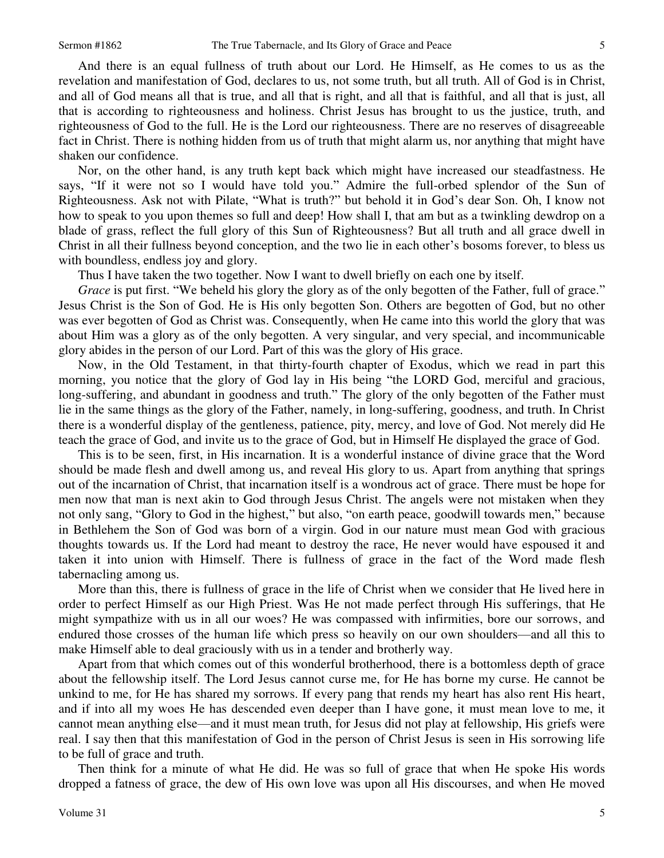And there is an equal fullness of truth about our Lord. He Himself, as He comes to us as the revelation and manifestation of God, declares to us, not some truth, but all truth. All of God is in Christ, and all of God means all that is true, and all that is right, and all that is faithful, and all that is just, all that is according to righteousness and holiness. Christ Jesus has brought to us the justice, truth, and righteousness of God to the full. He is the Lord our righteousness. There are no reserves of disagreeable fact in Christ. There is nothing hidden from us of truth that might alarm us, nor anything that might have shaken our confidence.

 Nor, on the other hand, is any truth kept back which might have increased our steadfastness. He says, "If it were not so I would have told you." Admire the full-orbed splendor of the Sun of Righteousness. Ask not with Pilate, "What is truth?" but behold it in God's dear Son. Oh, I know not how to speak to you upon themes so full and deep! How shall I, that am but as a twinkling dewdrop on a blade of grass, reflect the full glory of this Sun of Righteousness? But all truth and all grace dwell in Christ in all their fullness beyond conception, and the two lie in each other's bosoms forever, to bless us with boundless, endless joy and glory.

Thus I have taken the two together. Now I want to dwell briefly on each one by itself.

*Grace* is put first. "We beheld his glory the glory as of the only begotten of the Father, full of grace." Jesus Christ is the Son of God. He is His only begotten Son. Others are begotten of God, but no other was ever begotten of God as Christ was. Consequently, when He came into this world the glory that was about Him was a glory as of the only begotten. A very singular, and very special, and incommunicable glory abides in the person of our Lord. Part of this was the glory of His grace.

 Now, in the Old Testament, in that thirty-fourth chapter of Exodus, which we read in part this morning, you notice that the glory of God lay in His being "the LORD God, merciful and gracious, long-suffering, and abundant in goodness and truth." The glory of the only begotten of the Father must lie in the same things as the glory of the Father, namely, in long-suffering, goodness, and truth. In Christ there is a wonderful display of the gentleness, patience, pity, mercy, and love of God. Not merely did He teach the grace of God, and invite us to the grace of God, but in Himself He displayed the grace of God.

 This is to be seen, first, in His incarnation. It is a wonderful instance of divine grace that the Word should be made flesh and dwell among us, and reveal His glory to us. Apart from anything that springs out of the incarnation of Christ, that incarnation itself is a wondrous act of grace. There must be hope for men now that man is next akin to God through Jesus Christ. The angels were not mistaken when they not only sang, "Glory to God in the highest," but also, "on earth peace, goodwill towards men," because in Bethlehem the Son of God was born of a virgin. God in our nature must mean God with gracious thoughts towards us. If the Lord had meant to destroy the race, He never would have espoused it and taken it into union with Himself. There is fullness of grace in the fact of the Word made flesh tabernacling among us.

 More than this, there is fullness of grace in the life of Christ when we consider that He lived here in order to perfect Himself as our High Priest. Was He not made perfect through His sufferings, that He might sympathize with us in all our woes? He was compassed with infirmities, bore our sorrows, and endured those crosses of the human life which press so heavily on our own shoulders—and all this to make Himself able to deal graciously with us in a tender and brotherly way.

 Apart from that which comes out of this wonderful brotherhood, there is a bottomless depth of grace about the fellowship itself. The Lord Jesus cannot curse me, for He has borne my curse. He cannot be unkind to me, for He has shared my sorrows. If every pang that rends my heart has also rent His heart, and if into all my woes He has descended even deeper than I have gone, it must mean love to me, it cannot mean anything else—and it must mean truth, for Jesus did not play at fellowship, His griefs were real. I say then that this manifestation of God in the person of Christ Jesus is seen in His sorrowing life to be full of grace and truth.

 Then think for a minute of what He did. He was so full of grace that when He spoke His words dropped a fatness of grace, the dew of His own love was upon all His discourses, and when He moved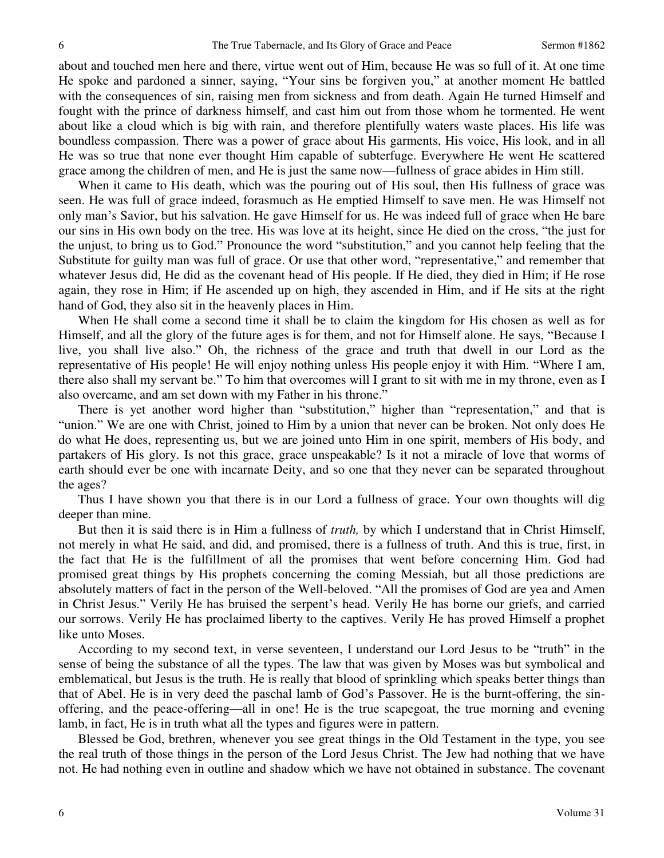about and touched men here and there, virtue went out of Him, because He was so full of it. At one time He spoke and pardoned a sinner, saying, "Your sins be forgiven you," at another moment He battled with the consequences of sin, raising men from sickness and from death. Again He turned Himself and fought with the prince of darkness himself, and cast him out from those whom he tormented. He went about like a cloud which is big with rain, and therefore plentifully waters waste places. His life was boundless compassion. There was a power of grace about His garments, His voice, His look, and in all He was so true that none ever thought Him capable of subterfuge. Everywhere He went He scattered grace among the children of men, and He is just the same now—fullness of grace abides in Him still.

 When it came to His death, which was the pouring out of His soul, then His fullness of grace was seen. He was full of grace indeed, forasmuch as He emptied Himself to save men. He was Himself not only man's Savior, but his salvation. He gave Himself for us. He was indeed full of grace when He bare our sins in His own body on the tree. His was love at its height, since He died on the cross, "the just for the unjust, to bring us to God." Pronounce the word "substitution," and you cannot help feeling that the Substitute for guilty man was full of grace. Or use that other word, "representative," and remember that whatever Jesus did, He did as the covenant head of His people. If He died, they died in Him; if He rose again, they rose in Him; if He ascended up on high, they ascended in Him, and if He sits at the right hand of God, they also sit in the heavenly places in Him.

 When He shall come a second time it shall be to claim the kingdom for His chosen as well as for Himself, and all the glory of the future ages is for them, and not for Himself alone. He says, "Because I live, you shall live also." Oh, the richness of the grace and truth that dwell in our Lord as the representative of His people! He will enjoy nothing unless His people enjoy it with Him. "Where I am, there also shall my servant be." To him that overcomes will I grant to sit with me in my throne, even as I also overcame, and am set down with my Father in his throne."

There is yet another word higher than "substitution," higher than "representation," and that is "union." We are one with Christ, joined to Him by a union that never can be broken. Not only does He do what He does, representing us, but we are joined unto Him in one spirit, members of His body, and partakers of His glory. Is not this grace, grace unspeakable? Is it not a miracle of love that worms of earth should ever be one with incarnate Deity, and so one that they never can be separated throughout the ages?

 Thus I have shown you that there is in our Lord a fullness of grace. Your own thoughts will dig deeper than mine.

 But then it is said there is in Him a fullness of *truth,* by which I understand that in Christ Himself, not merely in what He said, and did, and promised, there is a fullness of truth. And this is true, first, in the fact that He is the fulfillment of all the promises that went before concerning Him. God had promised great things by His prophets concerning the coming Messiah, but all those predictions are absolutely matters of fact in the person of the Well-beloved. "All the promises of God are yea and Amen in Christ Jesus." Verily He has bruised the serpent's head. Verily He has borne our griefs, and carried our sorrows. Verily He has proclaimed liberty to the captives. Verily He has proved Himself a prophet like unto Moses.

 According to my second text, in verse seventeen, I understand our Lord Jesus to be "truth" in the sense of being the substance of all the types. The law that was given by Moses was but symbolical and emblematical, but Jesus is the truth. He is really that blood of sprinkling which speaks better things than that of Abel. He is in very deed the paschal lamb of God's Passover. He is the burnt-offering, the sinoffering, and the peace-offering—all in one! He is the true scapegoat, the true morning and evening lamb, in fact, He is in truth what all the types and figures were in pattern.

 Blessed be God, brethren, whenever you see great things in the Old Testament in the type, you see the real truth of those things in the person of the Lord Jesus Christ. The Jew had nothing that we have not. He had nothing even in outline and shadow which we have not obtained in substance. The covenant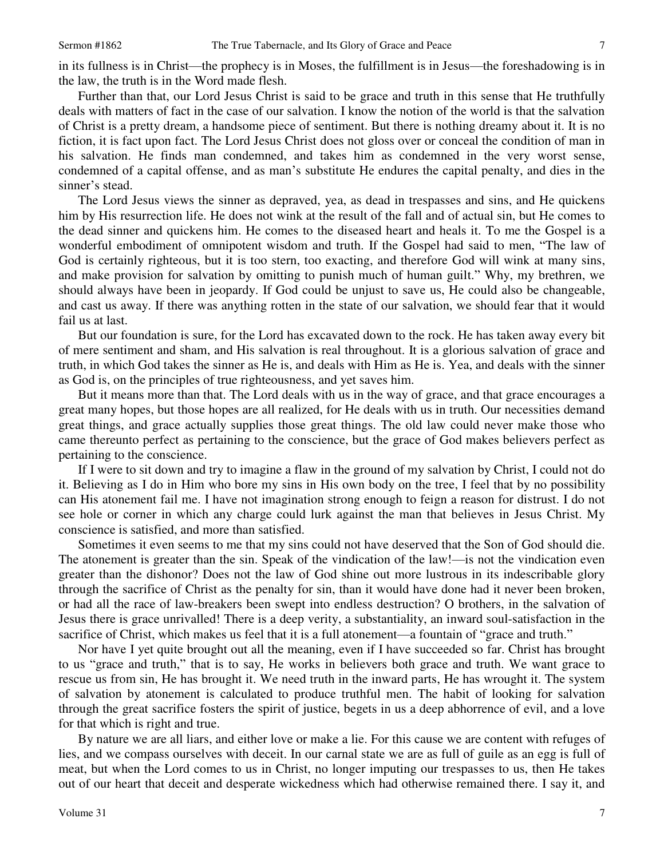in its fullness is in Christ—the prophecy is in Moses, the fulfillment is in Jesus—the foreshadowing is in the law, the truth is in the Word made flesh.

 Further than that, our Lord Jesus Christ is said to be grace and truth in this sense that He truthfully deals with matters of fact in the case of our salvation. I know the notion of the world is that the salvation of Christ is a pretty dream, a handsome piece of sentiment. But there is nothing dreamy about it. It is no fiction, it is fact upon fact. The Lord Jesus Christ does not gloss over or conceal the condition of man in his salvation. He finds man condemned, and takes him as condemned in the very worst sense, condemned of a capital offense, and as man's substitute He endures the capital penalty, and dies in the sinner's stead.

 The Lord Jesus views the sinner as depraved, yea, as dead in trespasses and sins, and He quickens him by His resurrection life. He does not wink at the result of the fall and of actual sin, but He comes to the dead sinner and quickens him. He comes to the diseased heart and heals it. To me the Gospel is a wonderful embodiment of omnipotent wisdom and truth. If the Gospel had said to men, "The law of God is certainly righteous, but it is too stern, too exacting, and therefore God will wink at many sins, and make provision for salvation by omitting to punish much of human guilt." Why, my brethren, we should always have been in jeopardy. If God could be unjust to save us, He could also be changeable, and cast us away. If there was anything rotten in the state of our salvation, we should fear that it would fail us at last.

 But our foundation is sure, for the Lord has excavated down to the rock. He has taken away every bit of mere sentiment and sham, and His salvation is real throughout. It is a glorious salvation of grace and truth, in which God takes the sinner as He is, and deals with Him as He is. Yea, and deals with the sinner as God is, on the principles of true righteousness, and yet saves him.

 But it means more than that. The Lord deals with us in the way of grace, and that grace encourages a great many hopes, but those hopes are all realized, for He deals with us in truth. Our necessities demand great things, and grace actually supplies those great things. The old law could never make those who came thereunto perfect as pertaining to the conscience, but the grace of God makes believers perfect as pertaining to the conscience.

 If I were to sit down and try to imagine a flaw in the ground of my salvation by Christ, I could not do it. Believing as I do in Him who bore my sins in His own body on the tree, I feel that by no possibility can His atonement fail me. I have not imagination strong enough to feign a reason for distrust. I do not see hole or corner in which any charge could lurk against the man that believes in Jesus Christ. My conscience is satisfied, and more than satisfied.

 Sometimes it even seems to me that my sins could not have deserved that the Son of God should die. The atonement is greater than the sin. Speak of the vindication of the law!—is not the vindication even greater than the dishonor? Does not the law of God shine out more lustrous in its indescribable glory through the sacrifice of Christ as the penalty for sin, than it would have done had it never been broken, or had all the race of law-breakers been swept into endless destruction? O brothers, in the salvation of Jesus there is grace unrivalled! There is a deep verity, a substantiality, an inward soul-satisfaction in the sacrifice of Christ, which makes us feel that it is a full atonement—a fountain of "grace and truth."

 Nor have I yet quite brought out all the meaning, even if I have succeeded so far. Christ has brought to us "grace and truth," that is to say, He works in believers both grace and truth. We want grace to rescue us from sin, He has brought it. We need truth in the inward parts, He has wrought it. The system of salvation by atonement is calculated to produce truthful men. The habit of looking for salvation through the great sacrifice fosters the spirit of justice, begets in us a deep abhorrence of evil, and a love for that which is right and true.

 By nature we are all liars, and either love or make a lie. For this cause we are content with refuges of lies, and we compass ourselves with deceit. In our carnal state we are as full of guile as an egg is full of meat, but when the Lord comes to us in Christ, no longer imputing our trespasses to us, then He takes out of our heart that deceit and desperate wickedness which had otherwise remained there. I say it, and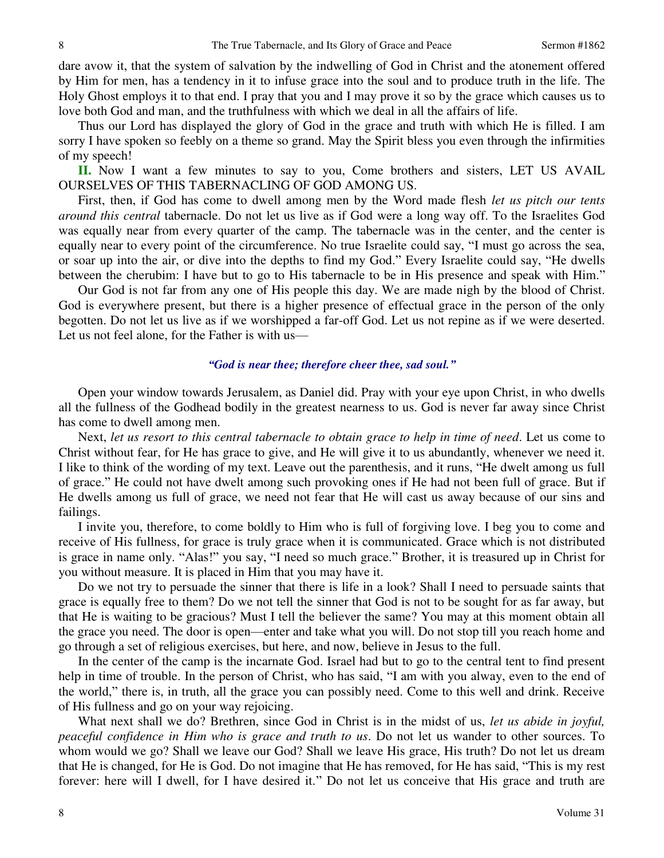dare avow it, that the system of salvation by the indwelling of God in Christ and the atonement offered by Him for men, has a tendency in it to infuse grace into the soul and to produce truth in the life. The Holy Ghost employs it to that end. I pray that you and I may prove it so by the grace which causes us to love both God and man, and the truthfulness with which we deal in all the affairs of life.

 Thus our Lord has displayed the glory of God in the grace and truth with which He is filled. I am sorry I have spoken so feebly on a theme so grand. May the Spirit bless you even through the infirmities of my speech!

**II.** Now I want a few minutes to say to you, Come brothers and sisters, LET US AVAIL OURSELVES OF THIS TABERNACLING OF GOD AMONG US.

 First, then, if God has come to dwell among men by the Word made flesh *let us pitch our tents around this central* tabernacle. Do not let us live as if God were a long way off. To the Israelites God was equally near from every quarter of the camp. The tabernacle was in the center, and the center is equally near to every point of the circumference. No true Israelite could say, "I must go across the sea, or soar up into the air, or dive into the depths to find my God." Every Israelite could say, "He dwells between the cherubim: I have but to go to His tabernacle to be in His presence and speak with Him."

 Our God is not far from any one of His people this day. We are made nigh by the blood of Christ. God is everywhere present, but there is a higher presence of effectual grace in the person of the only begotten. Do not let us live as if we worshipped a far-off God. Let us not repine as if we were deserted. Let us not feel alone, for the Father is with us—

#### *"God is near thee; therefore cheer thee, sad soul."*

Open your window towards Jerusalem, as Daniel did. Pray with your eye upon Christ, in who dwells all the fullness of the Godhead bodily in the greatest nearness to us. God is never far away since Christ has come to dwell among men.

 Next, *let us resort to this central tabernacle to obtain grace to help in time of need*. Let us come to Christ without fear, for He has grace to give, and He will give it to us abundantly, whenever we need it. I like to think of the wording of my text. Leave out the parenthesis, and it runs, "He dwelt among us full of grace." He could not have dwelt among such provoking ones if He had not been full of grace. But if He dwells among us full of grace, we need not fear that He will cast us away because of our sins and failings.

 I invite you, therefore, to come boldly to Him who is full of forgiving love. I beg you to come and receive of His fullness, for grace is truly grace when it is communicated. Grace which is not distributed is grace in name only. "Alas!" you say, "I need so much grace." Brother, it is treasured up in Christ for you without measure. It is placed in Him that you may have it.

 Do we not try to persuade the sinner that there is life in a look? Shall I need to persuade saints that grace is equally free to them? Do we not tell the sinner that God is not to be sought for as far away, but that He is waiting to be gracious? Must I tell the believer the same? You may at this moment obtain all the grace you need. The door is open—enter and take what you will. Do not stop till you reach home and go through a set of religious exercises, but here, and now, believe in Jesus to the full.

In the center of the camp is the incarnate God. Israel had but to go to the central tent to find present help in time of trouble. In the person of Christ, who has said, "I am with you alway, even to the end of the world," there is, in truth, all the grace you can possibly need. Come to this well and drink. Receive of His fullness and go on your way rejoicing.

 What next shall we do? Brethren, since God in Christ is in the midst of us, *let us abide in joyful, peaceful confidence in Him who is grace and truth to us*. Do not let us wander to other sources. To whom would we go? Shall we leave our God? Shall we leave His grace, His truth? Do not let us dream that He is changed, for He is God. Do not imagine that He has removed, for He has said, "This is my rest forever: here will I dwell, for I have desired it." Do not let us conceive that His grace and truth are